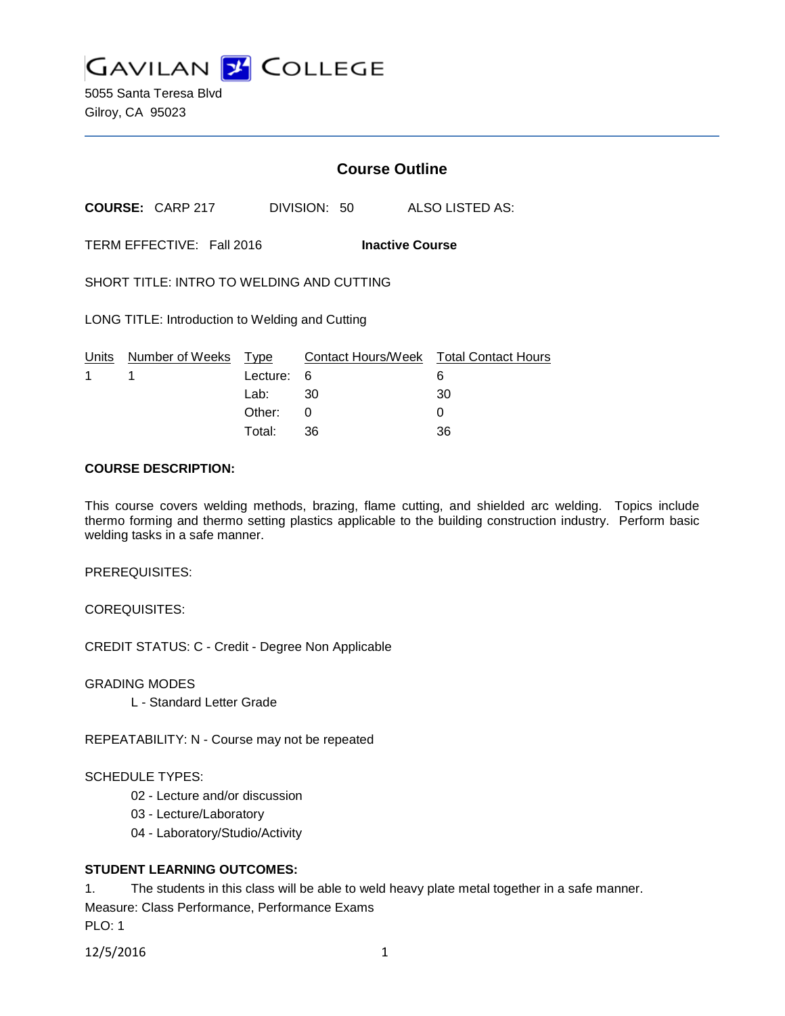

5055 Santa Teresa Blvd Gilroy, CA 95023

# **Course Outline**

**COURSE:** CARP 217 DIVISION: 50 ALSO LISTED AS:

TERM EFFECTIVE: Fall 2016 **Inactive Course**

SHORT TITLE: INTRO TO WELDING AND CUTTING

LONG TITLE: Introduction to Welding and Cutting

|             | Units Number of Weeks Type |            | Contact Hours/Week  Total Contact Hours |    |
|-------------|----------------------------|------------|-----------------------------------------|----|
| $1 \quad 1$ |                            | Lecture: 6 |                                         |    |
|             |                            | Lab: _     | - 30                                    | 30 |
|             |                            | Other:     |                                         |    |
|             |                            | Total:     | -36                                     | 36 |

#### **COURSE DESCRIPTION:**

This course covers welding methods, brazing, flame cutting, and shielded arc welding. Topics include thermo forming and thermo setting plastics applicable to the building construction industry. Perform basic welding tasks in a safe manner.

PREREQUISITES:

COREQUISITES:

CREDIT STATUS: C - Credit - Degree Non Applicable

GRADING MODES

L - Standard Letter Grade

REPEATABILITY: N - Course may not be repeated

#### SCHEDULE TYPES:

- 02 Lecture and/or discussion
- 03 Lecture/Laboratory
- 04 Laboratory/Studio/Activity

#### **STUDENT LEARNING OUTCOMES:**

1. The students in this class will be able to weld heavy plate metal together in a safe manner.

Measure: Class Performance, Performance Exams

PLO: 1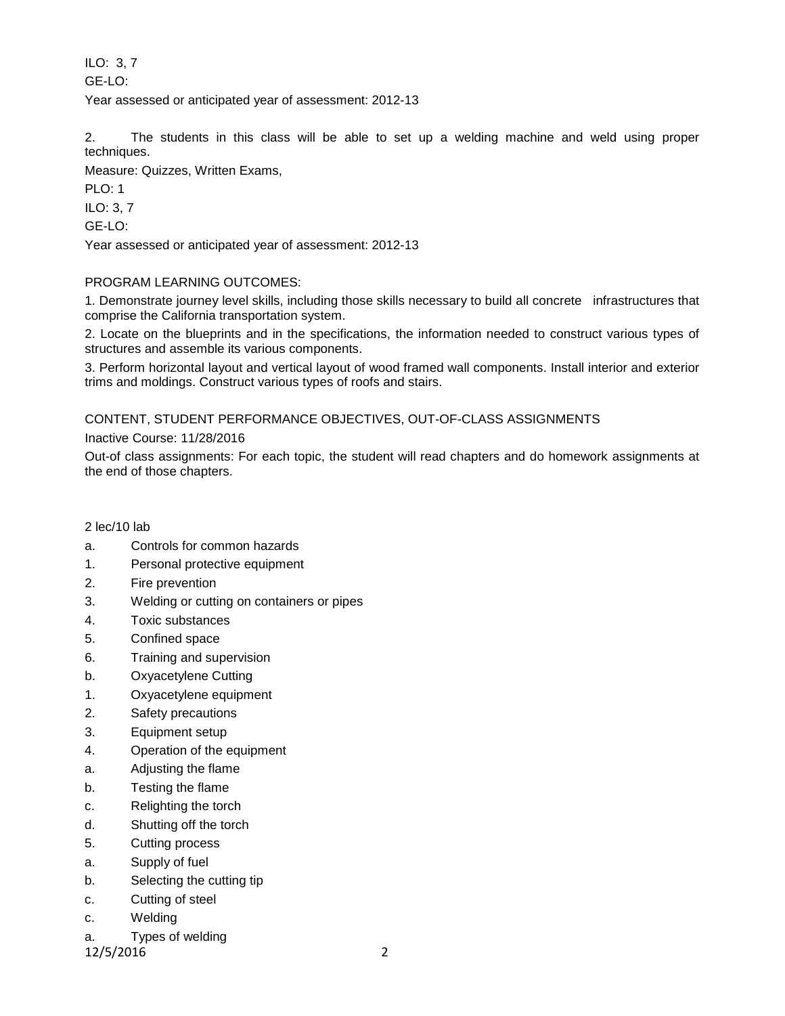ILO: 3, 7 GE-LO:

Year assessed or anticipated year of assessment: 2012-13

2. The students in this class will be able to set up a welding machine and weld using proper techniques.

Measure: Quizzes, Written Exams,

PLO: 1

ILO: 3, 7

GE-LO:

Year assessed or anticipated year of assessment: 2012-13

## PROGRAM LEARNING OUTCOMES:

1. Demonstrate journey level skills, including those skills necessary to build all concrete infrastructures that comprise the California transportation system.

2. Locate on the blueprints and in the specifications, the information needed to construct various types of structures and assemble its various components.

3. Perform horizontal layout and vertical layout of wood framed wall components. Install interior and exterior trims and moldings. Construct various types of roofs and stairs.

## CONTENT, STUDENT PERFORMANCE OBJECTIVES, OUT-OF-CLASS ASSIGNMENTS

Inactive Course: 11/28/2016

Out-of class assignments: For each topic, the student will read chapters and do homework assignments at the end of those chapters.

### 2 lec/10 lab

- a. Controls for common hazards
- 1. Personal protective equipment
- 2. Fire prevention
- 3. Welding or cutting on containers or pipes
- 4. Toxic substances
- 5. Confined space
- 6. Training and supervision
- b. Oxyacetylene Cutting
- 1. Oxyacetylene equipment
- 2. Safety precautions
- 3. Equipment setup
- 4. Operation of the equipment
- a. Adjusting the flame
- b. Testing the flame
- c. Relighting the torch
- d. Shutting off the torch
- 5. Cutting process
- a. Supply of fuel
- b. Selecting the cutting tip
- c. Cutting of steel
- c. Welding
- a. Types of welding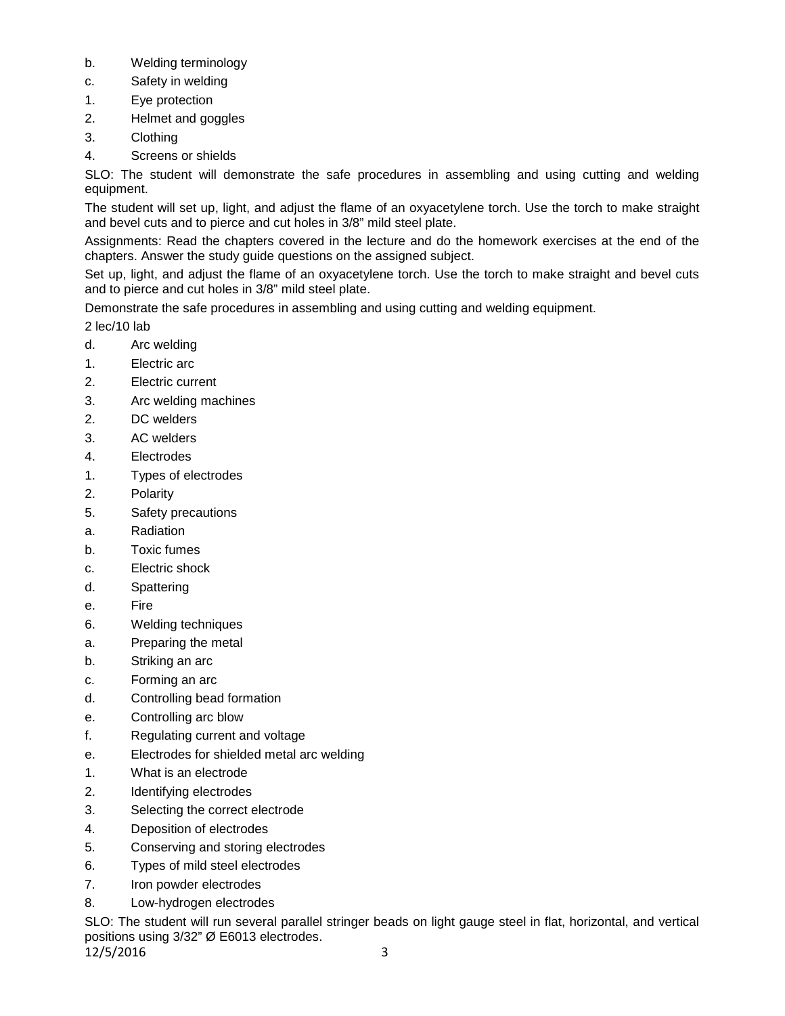- b. Welding terminology
- c. Safety in welding
- 1. Eye protection
- 2. Helmet and goggles
- 3. Clothing
- 4. Screens or shields

SLO: The student will demonstrate the safe procedures in assembling and using cutting and welding equipment.

The student will set up, light, and adjust the flame of an oxyacetylene torch. Use the torch to make straight and bevel cuts and to pierce and cut holes in 3/8" mild steel plate.

Assignments: Read the chapters covered in the lecture and do the homework exercises at the end of the chapters. Answer the study guide questions on the assigned subject.

Set up, light, and adjust the flame of an oxyacetylene torch. Use the torch to make straight and bevel cuts and to pierce and cut holes in 3/8" mild steel plate.

Demonstrate the safe procedures in assembling and using cutting and welding equipment.

2 lec/10 lab

- d. Arc welding
- 1. Electric arc
- 2. Electric current
- 3. Arc welding machines
- 2. DC welders
- 3. AC welders
- 4. Electrodes
- 1. Types of electrodes
- 2. Polarity
- 5. Safety precautions
- a. Radiation
- b. Toxic fumes
- c. Electric shock
- d. Spattering
- e. Fire
- 6. Welding techniques
- a. Preparing the metal
- b. Striking an arc
- c. Forming an arc
- d. Controlling bead formation
- e. Controlling arc blow
- f. Regulating current and voltage
- e. Electrodes for shielded metal arc welding
- 1. What is an electrode
- 2. Identifying electrodes
- 3. Selecting the correct electrode
- 4. Deposition of electrodes
- 5. Conserving and storing electrodes
- 6. Types of mild steel electrodes
- 7. Iron powder electrodes
- 8. Low-hydrogen electrodes

SLO: The student will run several parallel stringer beads on light gauge steel in flat, horizontal, and vertical positions using 3/32" Ø E6013 electrodes.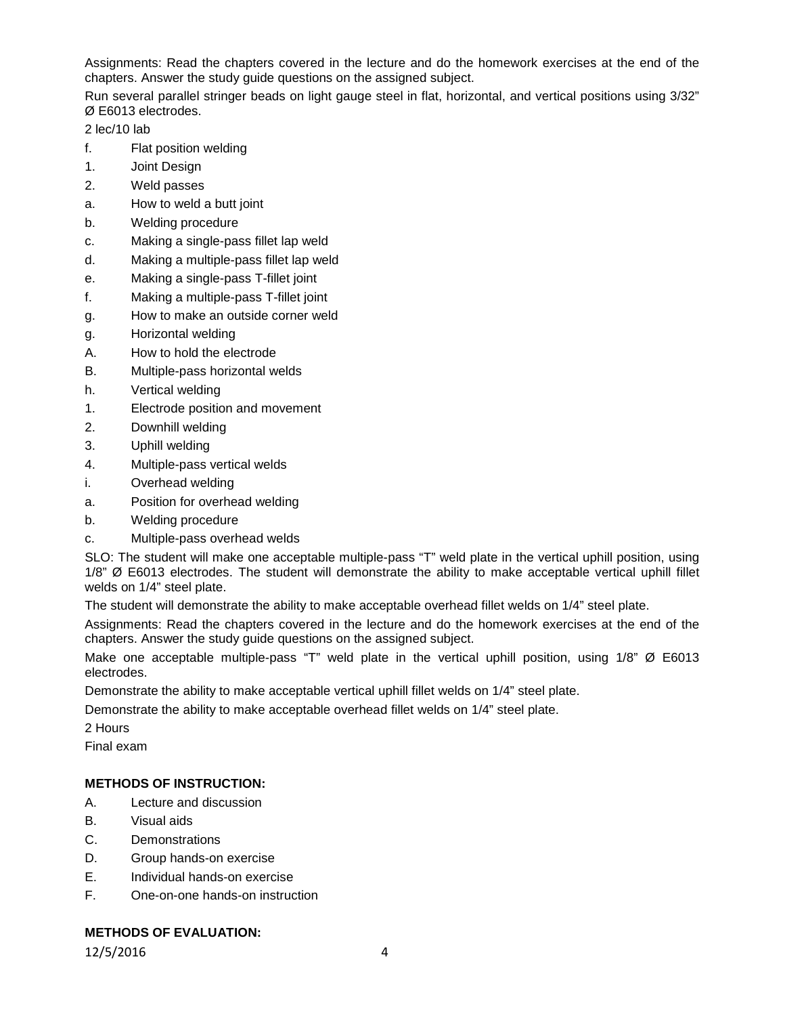Assignments: Read the chapters covered in the lecture and do the homework exercises at the end of the chapters. Answer the study guide questions on the assigned subject.

Run several parallel stringer beads on light gauge steel in flat, horizontal, and vertical positions using 3/32" Ø E6013 electrodes.

2 lec/10 lab

- f. Flat position welding
- 1. Joint Design
- 2. Weld passes
- a. How to weld a butt joint
- b. Welding procedure
- c. Making a single-pass fillet lap weld
- d. Making a multiple-pass fillet lap weld
- e. Making a single-pass T-fillet joint
- f. Making a multiple-pass T-fillet joint
- g. How to make an outside corner weld
- g. Horizontal welding
- A. How to hold the electrode
- B. Multiple-pass horizontal welds
- h. Vertical welding
- 1. Electrode position and movement
- 2. Downhill welding
- 3. Uphill welding
- 4. Multiple-pass vertical welds
- i. Overhead welding
- a. Position for overhead welding
- b. Welding procedure
- c. Multiple-pass overhead welds

SLO: The student will make one acceptable multiple-pass "T" weld plate in the vertical uphill position, using 1/8" Ø E6013 electrodes. The student will demonstrate the ability to make acceptable vertical uphill fillet welds on 1/4" steel plate.

The student will demonstrate the ability to make acceptable overhead fillet welds on 1/4" steel plate.

Assignments: Read the chapters covered in the lecture and do the homework exercises at the end of the chapters. Answer the study guide questions on the assigned subject.

Make one acceptable multiple-pass "T" weld plate in the vertical uphill position, using 1/8" Ø E6013 electrodes.

Demonstrate the ability to make acceptable vertical uphill fillet welds on 1/4" steel plate.

Demonstrate the ability to make acceptable overhead fillet welds on 1/4" steel plate.

2 Hours

Final exam

# **METHODS OF INSTRUCTION:**

- A. Lecture and discussion
- B. Visual aids
- C. Demonstrations
- D. Group hands-on exercise
- E. Individual hands-on exercise
- F. One-on-one hands-on instruction

# **METHODS OF EVALUATION:**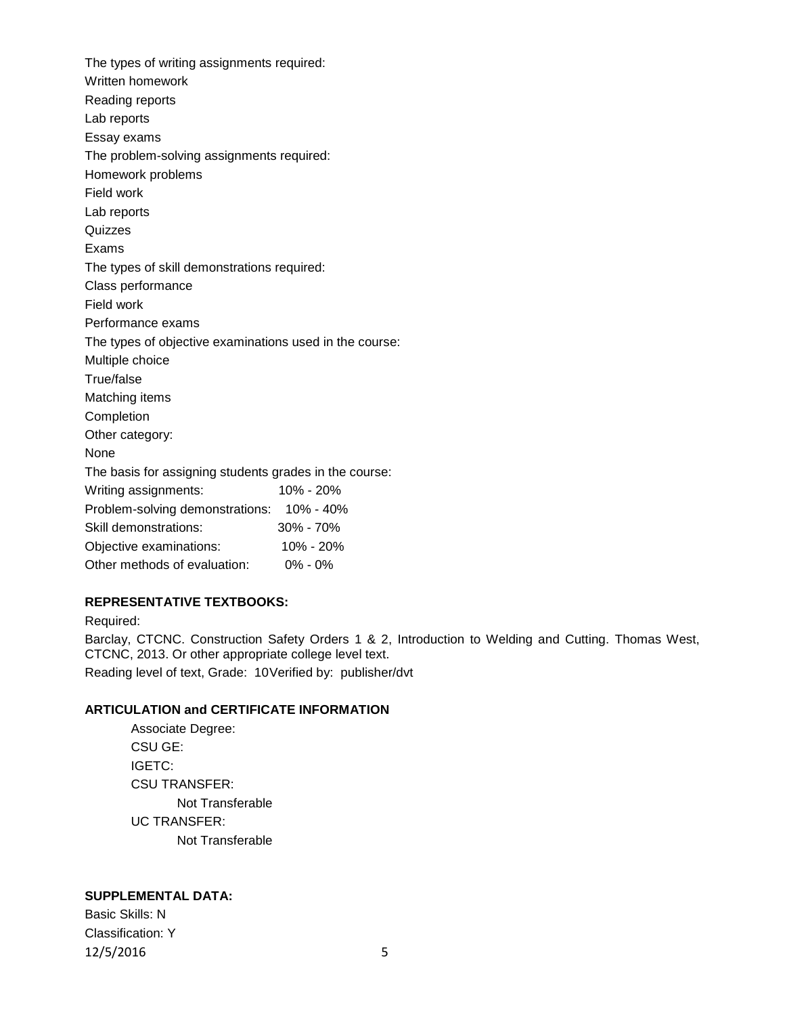The types of writing assignments required: Written homework Reading reports Lab reports Essay exams The problem-solving assignments required: Homework problems Field work Lab reports **Quizzes** Exams The types of skill demonstrations required: Class performance Field work Performance exams The types of objective examinations used in the course: Multiple choice True/false Matching items Completion Other category: None The basis for assigning students grades in the course: Writing assignments: 10% - 20% Problem-solving demonstrations: 10% - 40% Skill demonstrations: 30% - 70% Objective examinations: 10% - 20% Other methods of evaluation: 0% - 0%

### **REPRESENTATIVE TEXTBOOKS:**

Required:

Barclay, CTCNC. Construction Safety Orders 1 & 2, Introduction to Welding and Cutting. Thomas West, CTCNC, 2013. Or other appropriate college level text.

Reading level of text, Grade: 10Verified by: publisher/dvt

### **ARTICULATION and CERTIFICATE INFORMATION**

| Associate Degree: |  |  |  |  |
|-------------------|--|--|--|--|
| CSU GE:           |  |  |  |  |
| IGETC:            |  |  |  |  |
| CSU TRANSFER:     |  |  |  |  |
| Not Transferable  |  |  |  |  |
| UC TRANSFER:      |  |  |  |  |
| Not Transferable  |  |  |  |  |

## **SUPPLEMENTAL DATA:**

Basic Skills: N Classification: Y 12/5/2016 5